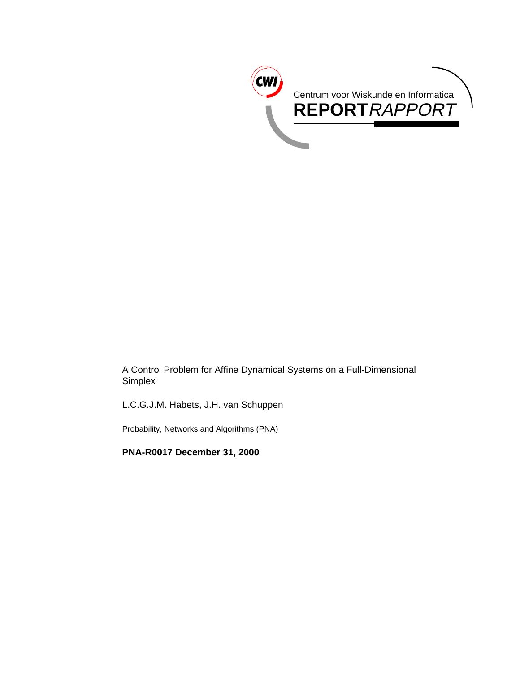

A Control Problem for Affine Dynamical Systems on a Full-Dimensional Simplex

L.C.G.J.M. Habets, J.H. van Schuppen

Probability, Networks and Algorithms (PNA)

**PNA-R0017 December 31, 2000**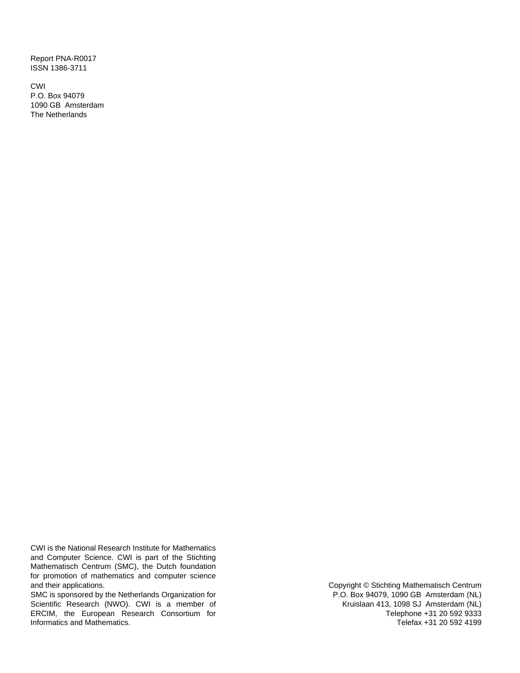Report PNA-R0017 ISSN 1386-3711

CWI P.O. Box 94079 1090 GB Amsterdam The Netherlands

CWI is the National Research Institute for Mathematics and Computer Science. CWI is part of the Stichting Mathematisch Centrum (SMC), the Dutch foundation for promotion of mathematics and computer science and their applications.

SMC is sponsored by the Netherlands Organization for Scientific Research (NWO). CWI is a member of ERCIM, the European Research Consortium for Informatics and Mathematics.

Copyright © Stichting Mathematisch Centrum P.O. Box 94079, 1090 GB Amsterdam (NL) Kruislaan 413, 1098 SJ Amsterdam (NL) Telephone +31 20 592 9333 Telefax +31 20 592 4199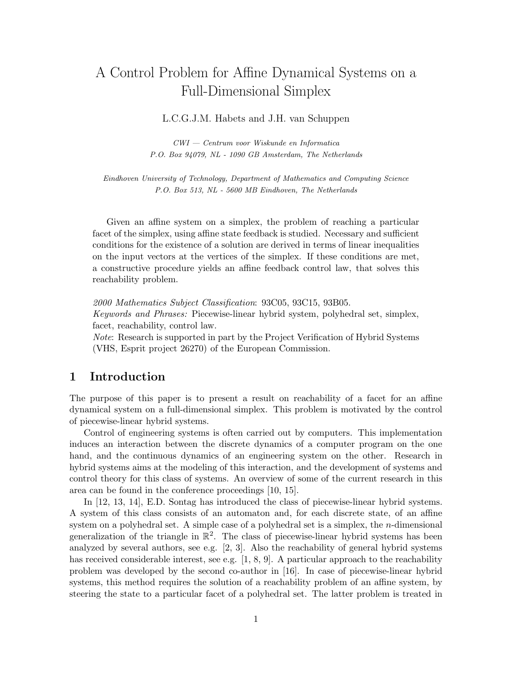# A Control Problem for Affine Dynamical Systems on a Full-Dimensional Simplex

#### L.C.G.J.M. Habets and J.H. van Schuppen

CWI — Centrum voor Wiskunde en Informatica P.O. Box 94079, NL - 1090 GB Amsterdam, The Netherlands

Eindhoven University of Technology, Department of Mathematics and Computing Science P.O. Box 513, NL - 5600 MB Eindhoven, The Netherlands

Given an affine system on a simplex, the problem of reaching a particular facet of the simplex, using affine state feedback is studied. Necessary and sufficient conditions for the existence of a solution are derived in terms of linear inequalities on the input vectors at the vertices of the simplex. If these conditions are met, a constructive procedure yields an affine feedback control law, that solves this reachability problem.

2000 Mathematics Subject Classification: 93C05, 93C15, 93B05.

Keywords and Phrases: Piecewise-linear hybrid system, polyhedral set, simplex, facet, reachability, control law.

Note: Research is supported in part by the Project Verification of Hybrid Systems (VHS, Esprit project 26270) of the European Commission.

#### **1 Introduction**

The purpose of this paper is to present a result on reachability of a facet for an affine dynamical system on a full-dimensional simplex. This problem is motivated by the control of piecewise-linear hybrid systems.

Control of engineering systems is often carried out by computers. This implementation induces an interaction between the discrete dynamics of a computer program on the one hand, and the continuous dynamics of an engineering system on the other. Research in hybrid systems aims at the modeling of this interaction, and the development of systems and control theory for this class of systems. An overview of some of the current research in this area can be found in the conference proceedings [10, 15].

In [12, 13, 14], E.D. Sontag has introduced the class of piecewise-linear hybrid systems. A system of this class consists of an automaton and, for each discrete state, of an affine system on a polyhedral set. A simple case of a polyhedral set is a simplex, the *n*-dimensional generalization of the triangle in  $\mathbb{R}^2$ . The class of piecewise-linear hybrid systems has been analyzed by several authors, see e.g. [2, 3]. Also the reachability of general hybrid systems has received considerable interest, see e.g. [1, 8, 9]. A particular approach to the reachability problem was developed by the second co-author in [16]. In case of piecewise-linear hybrid systems, this method requires the solution of a reachability problem of an affine system, by steering the state to a particular facet of a polyhedral set. The latter problem is treated in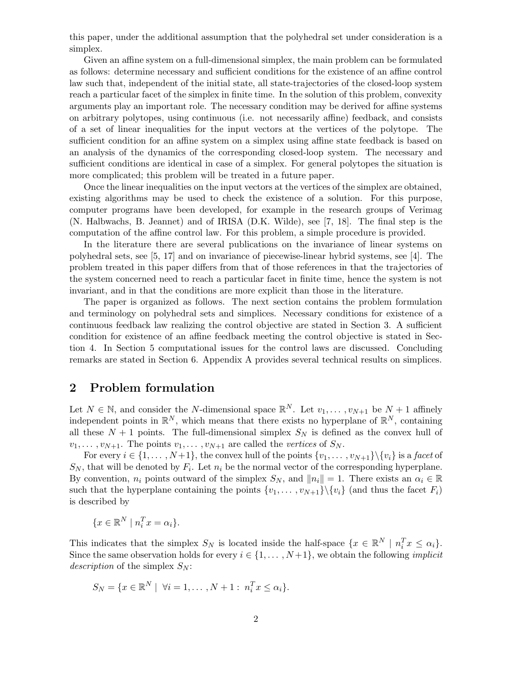this paper, under the additional assumption that the polyhedral set under consideration is a simplex.

Given an affine system on a full-dimensional simplex, the main problem can be formulated as follows: determine necessary and sufficient conditions for the existence of an affine control law such that, independent of the initial state, all state-trajectories of the closed-loop system reach a particular facet of the simplex in finite time. In the solution of this problem, convexity arguments play an important role. The necessary condition may be derived for affine systems on arbitrary polytopes, using continuous (i.e. not necessarily affine) feedback, and consists of a set of linear inequalities for the input vectors at the vertices of the polytope. The sufficient condition for an affine system on a simplex using affine state feedback is based on an analysis of the dynamics of the corresponding closed-loop system. The necessary and sufficient conditions are identical in case of a simplex. For general polytopes the situation is more complicated; this problem will be treated in a future paper.

Once the linear inequalities on the input vectors at the vertices of the simplex are obtained, existing algorithms may be used to check the existence of a solution. For this purpose, computer programs have been developed, for example in the research groups of Verimag (N. Halbwachs, B. Jeannet) and of IRISA (D.K. Wilde), see [7, 18]. The final step is the computation of the affine control law. For this problem, a simple procedure is provided.

In the literature there are several publications on the invariance of linear systems on polyhedral sets, see [5, 17] and on invariance of piecewise-linear hybrid systems, see [4]. The problem treated in this paper differs from that of those references in that the trajectories of the system concerned need to reach a particular facet in finite time, hence the system is not invariant, and in that the conditions are more explicit than those in the literature.

The paper is organized as follows. The next section contains the problem formulation and terminology on polyhedral sets and simplices. Necessary conditions for existence of a continuous feedback law realizing the control objective are stated in Section 3. A sufficient condition for existence of an affine feedback meeting the control objective is stated in Section 4. In Section 5 computational issues for the control laws are discussed. Concluding remarks are stated in Section 6. Appendix A provides several technical results on simplices.

#### **2 Problem formulation**

Let  $N \in \mathbb{N}$ , and consider the N-dimensional space  $\mathbb{R}^N$ . Let  $v_1, \ldots, v_{N+1}$  be  $N+1$  affinely independent points in  $\mathbb{R}^N$ , which means that there exists no hyperplane of  $\mathbb{R}^N$ , containing all these  $N + 1$  points. The full-dimensional simplex  $S_N$  is defined as the convex hull of  $v_1,\ldots,v_{N+1}$ . The points  $v_1,\ldots,v_{N+1}$  are called the vertices of  $S_N$ .

For every  $i \in \{1, \ldots, N+1\}$ , the convex hull of the points  $\{v_1, \ldots, v_{N+1}\}\backslash \{v_i\}$  is a facet of  $S_N$ , that will be denoted by  $F_i$ . Let  $n_i$  be the normal vector of the corresponding hyperplane. By convention,  $n_i$  points outward of the simplex  $S_N$ , and  $||n_i|| = 1$ . There exists an  $\alpha_i \in \mathbb{R}$ such that the hyperplane containing the points  $\{v_1, \ldots, v_{N+1}\}\$  (and thus the facet  $F_i$ ) is described by

$$
\{x \in \mathbb{R}^N \mid n_i^T x = \alpha_i\}.
$$

This indicates that the simplex  $S_N$  is located inside the half-space  $\{x \in \mathbb{R}^N \mid n_i^T x \leq \alpha_i\}.$ Since the same observation holds for every  $i \in \{1, \ldots, N+1\}$ , we obtain the following *implicit* description of the simplex  $S_N$ :

$$
S_N = \{x \in \mathbb{R}^N \mid \forall i = 1, \dots, N+1 : n_i^T x \le \alpha_i\}.
$$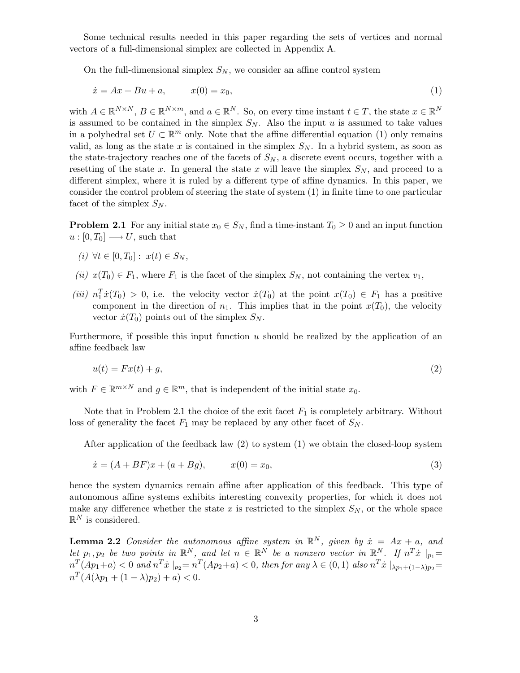Some technical results needed in this paper regarding the sets of vertices and normal vectors of a full-dimensional simplex are collected in Appendix A.

On the full-dimensional simplex  $S_N$ , we consider an affine control system

$$
\dot{x} = Ax + Bu + a, \qquad x(0) = x_0,\tag{1}
$$

with  $A \in \mathbb{R}^{N \times N}$ ,  $B \in \mathbb{R}^{N \times m}$ , and  $a \in \mathbb{R}^N$ . So, on every time instant  $t \in T$ , the state  $x \in \mathbb{R}^N$ is assumed to be contained in the simplex  $S_N$ . Also the input u is assumed to take values in a polyhedral set  $U \subset \mathbb{R}^m$  only. Note that the affine differential equation (1) only remains valid, as long as the state x is contained in the simplex  $S_N$ . In a hybrid system, as soon as the state-trajectory reaches one of the facets of  $S_N$ , a discrete event occurs, together with a resetting of the state x. In general the state x will leave the simplex  $S_N$ , and proceed to a different simplex, where it is ruled by a different type of affine dynamics. In this paper, we consider the control problem of steering the state of system (1) in finite time to one particular facet of the simplex  $S_N$ .

**Problem 2.1** For any initial state  $x_0 \in S_N$ , find a time-instant  $T_0 \geq 0$  and an input function  $u:[0,T_0] \longrightarrow U$ , such that

- (i)  $\forall t \in [0, T_0] : x(t) \in S_N$ ,
- (ii)  $x(T_0) \in F_1$ , where  $F_1$  is the facet of the simplex  $S_N$ , not containing the vertex  $v_1$ ,
- (iii)  $n_1^T \dot{x}(T_0) > 0$ , i.e. the velocity vector  $\dot{x}(T_0)$  at the point  $x(T_0) \in F_1$  has a positive component in the direction of  $n_1$ . This implies that in the point  $x(T_0)$ , the velocity vector  $\dot{x}(T_0)$  points out of the simplex  $S_N$ .

Furthermore, if possible this input function  $u$  should be realized by the application of an affine feedback law

$$
u(t) = Fx(t) + g,\tag{2}
$$

with  $F \in \mathbb{R}^{m \times N}$  and  $q \in \mathbb{R}^m$ , that is independent of the initial state  $x_0$ .

Note that in Problem 2.1 the choice of the exit facet  $F_1$  is completely arbitrary. Without loss of generality the facet  $F_1$  may be replaced by any other facet of  $S_N$ .

After application of the feedback law  $(2)$  to system  $(1)$  we obtain the closed-loop system

$$
\dot{x} = (A + BF)x + (a + Bg), \qquad x(0) = x_0,\tag{3}
$$

hence the system dynamics remain affine after application of this feedback. This type of autonomous affine systems exhibits interesting convexity properties, for which it does not make any difference whether the state x is restricted to the simplex  $S_N$ , or the whole space  $\mathbb{R}^N$  is considered.

**Lemma 2.2** Consider the autonomous affine system in  $\mathbb{R}^N$ , given by  $\dot{x} = Ax + a$ , and let  $p_1, p_2$  be two points in  $\mathbb{R}^N$ , and let  $n \in \mathbb{R}^N$  be a nonzero vector in  $\mathbb{R}^N$ . If  $n^T\dot{x}|_{p_1} =$  $n^T(Ap_1+a) < 0$  and  $n^T\dot{x}|_{p_2}=n^T(Ap_2+a) < 0$ , then for any  $\lambda \in (0,1)$  also  $n^T\dot{x}|_{\lambda p_1+(1-\lambda)p_2} =$  $n^T (A(\lambda p_1 + (1 - \lambda)p_2) + a) < 0.$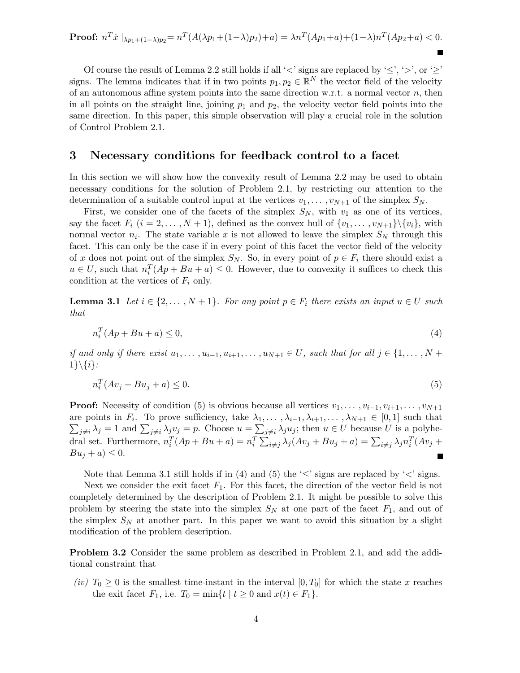Proof: 
$$
n^T \dot{x} |_{\lambda p_1 + (1-\lambda)p_2} = n^T (A(\lambda p_1 + (1-\lambda)p_2) + a) = \lambda n^T (A p_1 + a) + (1-\lambda) n^T (A p_2 + a) < 0.
$$

Of course the result of Lemma 2.2 still holds if all ' $\lt'$  signs are replaced by ' $\leq'$ , ' $>'$ , or ' $\geq'$ ' signs. The lemma indicates that if in two points  $p_1, p_2 \in \mathbb{R}^N$  the vector field of the velocity of an autonomous affine system points into the same direction w.r.t. a normal vector  $n$ , then in all points on the straight line, joining  $p_1$  and  $p_2$ , the velocity vector field points into the same direction. In this paper, this simple observation will play a crucial role in the solution of Control Problem 2.1.

#### **3 Necessary conditions for feedback control to a facet**

In this section we will show how the convexity result of Lemma 2.2 may be used to obtain necessary conditions for the solution of Problem 2.1, by restricting our attention to the determination of a suitable control input at the vertices  $v_1, \ldots, v_{N+1}$  of the simplex  $S_N$ .

First, we consider one of the facets of the simplex  $S_N$ , with  $v_1$  as one of its vertices, say the facet  $F_i$   $(i = 2, ..., N + 1)$ , defined as the convex hull of  $\{v_1, ..., v_{N+1}\}\$ , with normal vector  $n_i$ . The state variable x is not allowed to leave the simplex  $S_N$  through this facet. This can only be the case if in every point of this facet the vector field of the velocity of x does not point out of the simplex  $S_N$ . So, in every point of  $p \in F_i$  there should exist a  $u \in U$ , such that  $n_i^T(Ap + Bu + a) \leq 0$ . However, due to convexity it suffices to check this condition at the vertices of  $F_i$  only.

**Lemma 3.1** Let  $i \in \{2, ..., N+1\}$ . For any point  $p \in F_i$  there exists an input  $u \in U$  such that

$$
n_i^T(Ap + Bu + a) \le 0,\t\t(4)
$$

if and only if there exist  $u_1, \ldots, u_{i-1}, u_{i+1}, \ldots, u_{N+1} \in U$ , such that for all  $j \in \{1, \ldots, N +$  $1\}\backslash \{i\}.$ 

$$
n_i^T(Av_j + Bu_j + a) \le 0. \tag{5}
$$

**Proof:** Necessity of condition (5) is obvious because all vertices  $v_1, \ldots, v_{i-1}, v_{i+1}, \ldots, v_{N+1}$ are points in  $F_i$ . To prove sufficiency, take  $\lambda_1, \ldots, \lambda_{i-1}, \lambda_{i+1}, \ldots, \lambda_{N+1} \in [0,1]$  such that  $\sum_{j\neq i}\lambda_j=1$  and  $\sum_{j\neq i}\lambda_jv_j=p$ . Choose  $u=\sum_{j\neq i}\lambda_ju_j$ ; then  $u\in U$  because U is a polyhedral set. Furthermore,  $n_i^T(Ap + Bu + a) = n_i^T \sum_{i \neq j} \lambda_j (Av_j + Bu_j + a) = \sum_{i \neq j} \lambda_j n_i^T (Av_j + a)$  $Bu_j + a) \leq 0.$ Е

Note that Lemma 3.1 still holds if in (4) and (5) the ' $\leq$ ' signs are replaced by ' $\lt$ ' signs. Next we consider the exit facet  $F_1$ . For this facet, the direction of the vector field is not

completely determined by the description of Problem 2.1. It might be possible to solve this problem by steering the state into the simplex  $S_N$  at one part of the facet  $F_1$ , and out of the simplex  $S_N$  at another part. In this paper we want to avoid this situation by a slight modification of the problem description.

**Problem 3.2** Consider the same problem as described in Problem 2.1, and add the additional constraint that

(iv)  $T_0 \geq 0$  is the smallest time-instant in the interval  $[0, T_0]$  for which the state x reaches the exit facet  $F_1$ , i.e.  $T_0 = \min\{t \mid t \geq 0 \text{ and } x(t) \in F_1\}.$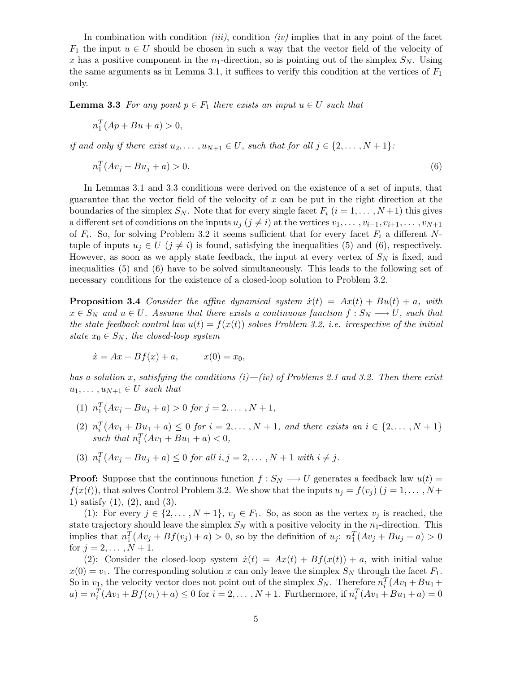In combination with condition *(iii)*, condition *(iv)* implies that in any point of the facet  $F_1$  the input  $u \in U$  should be chosen in such a way that the vector field of the velocity of x has a positive component in the  $n_1$ -direction, so is pointing out of the simplex  $S_N$ . Using the same arguments as in Lemma 3.1, it suffices to verify this condition at the vertices of  $F_1$ only.

**Lemma 3.3** For any point  $p \in F_1$  there exists an input  $u \in U$  such that

$$
n_1^T(Ap + Bu + a) > 0,
$$

if and only if there exist  $u_2,\ldots,u_{N+1}\in U$ , such that for all  $j\in\{2,\ldots,N+1\}$ :

$$
n_1^T(Av_j + Bu_j + a) > 0.
$$
\n(6)

In Lemmas 3.1 and 3.3 conditions were derived on the existence of a set of inputs, that guarantee that the vector field of the velocity of x can be put in the right direction at the boundaries of the simplex  $S_N$ . Note that for every single facet  $F_i$   $(i = 1, \ldots, N+1)$  this gives a different set of conditions on the inputs  $u_j$  ( $j \neq i$ ) at the vertices  $v_1, \ldots, v_{i-1}, v_{i+1}, \ldots, v_{N+1}$ of  $F_i$ . So, for solving Problem 3.2 it seems sufficient that for every facet  $F_i$  a different Ntuple of inputs  $u_j \in U$  ( $j \neq i$ ) is found, satisfying the inequalities (5) and (6), respectively. However, as soon as we apply state feedback, the input at every vertex of  $S_N$  is fixed, and inequalities (5) and (6) have to be solved simultaneously. This leads to the following set of necessary conditions for the existence of a closed-loop solution to Problem 3.2.

**Proposition 3.4** Consider the affine dynamical system  $\dot{x}(t) = Ax(t) + Bu(t) + a$ , with  $x \in S_N$  and  $u \in U$ . Assume that there exists a continuous function  $f : S_N \longrightarrow U$ , such that the state feedback control law  $u(t) = f(x(t))$  solves Problem 3.2, i.e. irrespective of the initial state  $x_0 \in S_N$ , the closed-loop system

$$
\dot{x} = Ax + Bf(x) + a,
$$
  $x(0) = x_0,$ 

has a solution x, satisfying the conditions  $(i)$ — $(iv)$  of Problems 2.1 and 3.2. Then there exist  $u_1, \ldots, u_{N+1} \in U$  such that

- (1)  $n_1^T(Av_j + Bu_j + a) > 0$  for  $j = 2, ..., N + 1$ ,
- (2)  $n_i^T(Av_1 + Bu_1 + a) \leq 0$  for  $i = 2, ..., N + 1$ , and there exists an  $i \in \{2, ..., N + 1\}$ such that  $n_i^T(Av_1 + Bu_1 + a) < 0$ ,
- (3)  $n_i^T(Av_j + Bu_j + a) \le 0$  for all  $i, j = 2, ..., N + 1$  with  $i \ne j$ .

**Proof:** Suppose that the continuous function  $f : S_N \longrightarrow U$  generates a feedback law  $u(t) =$  $f(x(t))$ , that solves Control Problem 3.2. We show that the inputs  $u_j = f(v_j)$   $(j = 1, \ldots, N +$ 1) satisfy (1), (2), and (3).

(1): For every  $j \in \{2,\ldots,N+1\}$ ,  $v_j \in F_1$ . So, as soon as the vertex  $v_j$  is reached, the state trajectory should leave the simplex  $S_N$  with a positive velocity in the  $n_1$ -direction. This implies that  $n_1^T(Av_j + Bf(v_j) + a) > 0$ , so by the definition of  $u_j$ :  $n_1^T(Av_j + Bu_j + a) > 0$ for  $j = 2, ..., N + 1$ .

(2): Consider the closed-loop system  $\dot{x}(t) = Ax(t) + Bf(x(t)) + a$ , with initial value  $x(0) = v_1$ . The corresponding solution x can only leave the simplex  $S_N$  through the facet  $F_1$ . So in  $v_1$ , the velocity vector does not point out of the simplex  $S_N$ . Therefore  $n_i^T (Av_1 + Bu_1 +$  $a) = n_i^T (Av_1 + Bf(v_1) + a) \le 0$  for  $i = 2, ..., N + 1$ . Furthermore, if  $n_i^T (Av_1 + Bu_1 + a) = 0$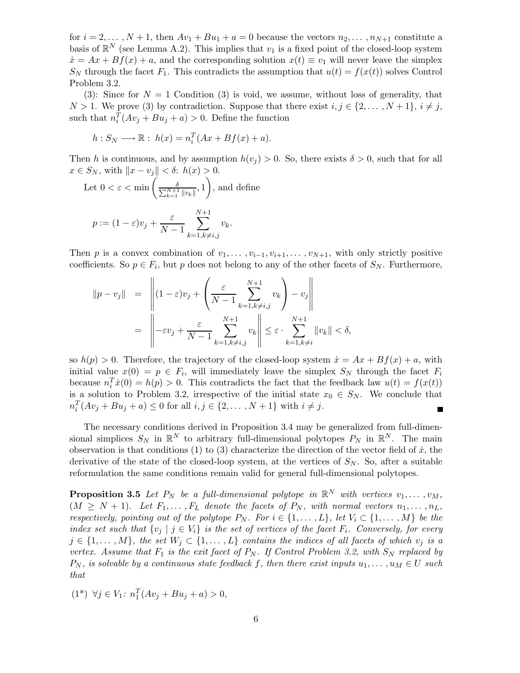for  $i = 2, ..., N + 1$ , then  $Av_1 + Bu_1 + a = 0$  because the vectors  $n_2, ..., n_{N+1}$  constitute a basis of  $\mathbb{R}^N$  (see Lemma A.2). This implies that  $v_1$  is a fixed point of the closed-loop system  $\dot{x} = Ax + Bf(x) + a$ , and the corresponding solution  $x(t) \equiv v_1$  will never leave the simplex  $S_N$  through the facet  $F_1$ . This contradicts the assumption that  $u(t) = f(x(t))$  solves Control Problem 3.2.

(3): Since for  $N = 1$  Condition (3) is void, we assume, without loss of generality, that  $N > 1$ . We prove (3) by contradiction. Suppose that there exist  $i, j \in \{2, ..., N+1\}, i \neq j$ , such that  $n_i^T(Av_j + Bu_j + a) > 0$ . Define the function

$$
h: S_N \longrightarrow \mathbb{R}: h(x) = n_i^T (Ax + Bf(x) + a).
$$

Then h is continuous, and by assumption  $h(v_i) > 0$ . So, there exists  $\delta > 0$ , such that for all  $x \in S_N$ , with  $||x - v_j|| < \delta$ :  $h(x) > 0$ .

Let 
$$
0 < \varepsilon < \min\left(\frac{\delta}{\sum_{k=1}^{N+1} ||v_k||}, 1\right)
$$
, and define  

$$
p := (1 - \varepsilon)v_j + \frac{\varepsilon}{N-1} \sum_{k=1, k \neq i, j}^{N+1} v_k.
$$

Then p is a convex combination of  $v_1, \ldots, v_{i-1}, v_{i+1}, \ldots, v_{N+1}$ , with only strictly positive coefficients. So  $p \in F_i$ , but p does not belong to any of the other facets of  $S_N$ . Furthermore,

$$
||p - v_j|| = \left|| (1 - \varepsilon)v_j + \left(\frac{\varepsilon}{N - 1} \sum_{k=1, k \neq i, j}^{N+1} v_k\right) - v_j \right||
$$
  

$$
= \left||-\varepsilon v_j + \frac{\varepsilon}{N - 1} \sum_{k=1, k \neq i, j}^{N+1} v_k \right|| \leq \varepsilon \cdot \sum_{k=1, k \neq i}^{N+1} ||v_k|| < \delta,
$$

so  $h(p) > 0$ . Therefore, the trajectory of the closed-loop system  $\dot{x} = Ax + Bf(x) + a$ , with initial value  $x(0) = p \in F_i$ , will immediately leave the simplex  $S_N$  through the facet  $F_i$ because  $n_i^T \dot{x}(0) = h(p) > 0$ . This contradicts the fact that the feedback law  $u(t) = f(x(t))$ is a solution to Problem 3.2, irrespective of the initial state  $x_0 \in S_N$ . We conclude that  $n_i^T(Av_j + Bu_j + a) \le 0$  for all  $i, j \in \{2, ..., N + 1\}$  with  $i \ne j$ . Г

The necessary conditions derived in Proposition 3.4 may be generalized from full-dimensional simplices  $S_N$  in  $\mathbb{R}^N$  to arbitrary full-dimensional polytopes  $P_N$  in  $\mathbb{R}^N$ . The main observation is that conditions (1) to (3) characterize the direction of the vector field of  $\dot{x}$ , the derivative of the state of the closed-loop system, at the vertices of  $S_N$ . So, after a suitable reformulation the same conditions remain valid for general full-dimensional polytopes.

**Proposition 3.5** Let  $P_N$  be a full-dimensional polytope in  $\mathbb{R}^N$  with vertices  $v_1, \ldots, v_M$ ,  $(M \geq N + 1)$ . Let  $F_1, \ldots, F_L$  denote the facets of  $P_N$ , with normal vectors  $n_1, \ldots, n_L$ , respectively, pointing out of the polytope  $P_N$ . For  $i \in \{1, ..., L\}$ , let  $V_i \subset \{1, ..., M\}$  be the index set such that  $\{v_j \mid j \in V_i\}$  is the set of vertices of the facet  $F_i$ . Conversely, for every  $j \in \{1,\ldots,M\}$ , the set  $W_j \subset \{1,\ldots,L\}$  contains the indices of all facets of which  $v_j$  is a vertex. Assume that  $F_1$  is the exit facet of  $P_N$ . If Control Problem 3.2, with  $S_N$  replaced by  $P_N$ , is solvable by a continuous state feedback f, then there exist inputs  $u_1, \ldots, u_M \in U$  such that

$$
(1^*) \ \forall j \in V_1: \ n_1^T(Av_j + Bu_j + a) > 0,
$$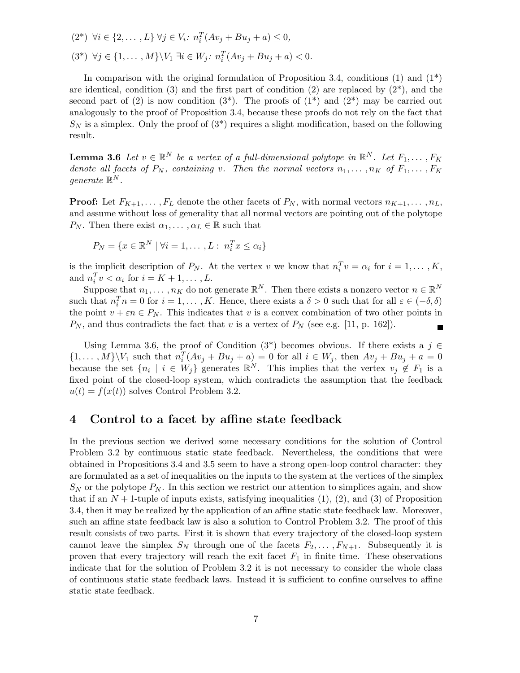$$
(2^*) \quad \forall i \in \{2, \dots, L\} \quad \forall j \in V_i: n_i^T (Av_j + Bu_j + a) \le 0,
$$
  

$$
(3^*) \quad \forall j \in \{1, \dots, M\} \setminus V_1 \exists i \in W_j: n_i^T (Av_j + Bu_j + a) < 0.
$$

In comparison with the original formulation of Proposition 3.4, conditions  $(1)$  and  $(1^*)$ are identical, condition (3) and the first part of condition (2) are replaced by  $(2^*)$ , and the second part of (2) is now condition  $(3^*)$ . The proofs of  $(1^*)$  and  $(2^*)$  may be carried out analogously to the proof of Proposition 3.4, because these proofs do not rely on the fact that  $S_N$  is a simplex. Only the proof of  $(3^*)$  requires a slight modification, based on the following result.

**Lemma 3.6** Let  $v \in \mathbb{R}^N$  be a vertex of a full-dimensional polytope in  $\mathbb{R}^N$ . Let  $F_1, \ldots, F_K$ denote all facets of  $P_N$ , containing v. Then the normal vectors  $n_1, \ldots, n_K$  of  $F_1, \ldots, F_K$ qenerate  $\mathbb{R}^N$ .

**Proof:** Let  $F_{K+1}, \ldots, F_L$  denote the other facets of  $P_N$ , with normal vectors  $n_{K+1}, \ldots, n_L$ , and assume without loss of generality that all normal vectors are pointing out of the polytope  $P_N$ . Then there exist  $\alpha_1, \ldots, \alpha_L \in \mathbb{R}$  such that

$$
P_N = \{x \in \mathbb{R}^N \mid \forall i = 1, \dots, L : n_i^T x \le \alpha_i\}
$$

is the implicit description of  $P_N$ . At the vertex v we know that  $n_i^T v = \alpha_i$  for  $i = 1, ..., K$ , and  $n_i^T v < \alpha_i$  for  $i = K + 1, \dots, L$ .

Suppose that  $n_1, \ldots, n_K$  do not generate  $\mathbb{R}^N$ . Then there exists a nonzero vector  $n \in \mathbb{R}^N$ such that  $n_i^T n = 0$  for  $i = 1, ..., K$ . Hence, there exists a  $\delta > 0$  such that for all  $\varepsilon \in (-\delta, \delta)$ the point  $v + \varepsilon n \in P_N$ . This indicates that v is a convex combination of two other points in  $P_N$ , and thus contradicts the fact that v is a vertex of  $P_N$  (see e.g. [11, p. 162]).

Using Lemma 3.6, the proof of Condition (3<sup>\*</sup>) becomes obvious. If there exists a  $j \in \mathbb{Z}$  $\{1,\ldots,M\}\backslash V_1$  such that  $n_i^T(Av_j + Bu_j + a) = 0$  for all  $i \in W_j$ , then  $Av_j + Bu_j + a = 0$ because the set  $\{n_i \mid i \in W_j\}$  generates  $\mathbb{R}^N$ . This implies that the vertex  $v_j \notin F_1$  is a fixed point of the closed-loop system, which contradicts the assumption that the feedback  $u(t) = f(x(t))$  solves Control Problem 3.2.

#### **4 Control to a facet by affine state feedback**

In the previous section we derived some necessary conditions for the solution of Control Problem 3.2 by continuous static state feedback. Nevertheless, the conditions that were obtained in Propositions 3.4 and 3.5 seem to have a strong open-loop control character: they are formulated as a set of inequalities on the inputs to the system at the vertices of the simplex  $S_N$  or the polytope  $P_N$ . In this section we restrict our attention to simplices again, and show that if an  $N + 1$ -tuple of inputs exists, satisfying inequalities (1), (2), and (3) of Proposition 3.4, then it may be realized by the application of an affine static state feedback law. Moreover, such an affine state feedback law is also a solution to Control Problem 3.2. The proof of this result consists of two parts. First it is shown that every trajectory of the closed-loop system cannot leave the simplex  $S_N$  through one of the facets  $F_2,\ldots,F_{N+1}$ . Subsequently it is proven that every trajectory will reach the exit facet  $F_1$  in finite time. These observations indicate that for the solution of Problem 3.2 it is not necessary to consider the whole class of continuous static state feedback laws. Instead it is sufficient to confine ourselves to affine static state feedback.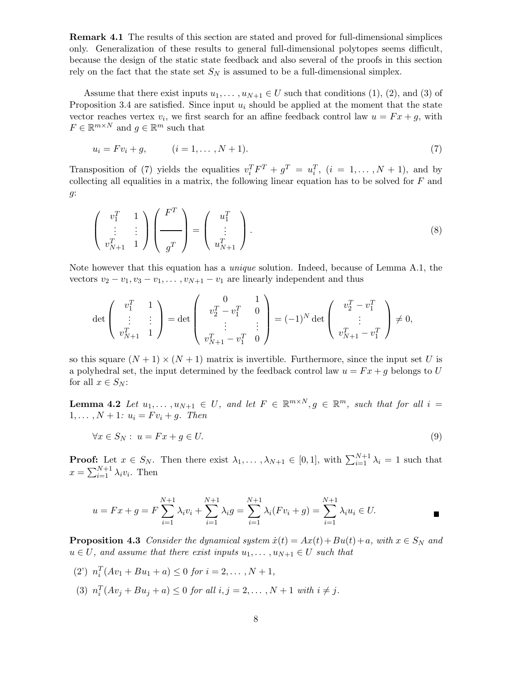**Remark 4.1** The results of this section are stated and proved for full-dimensional simplices only. Generalization of these results to general full-dimensional polytopes seems difficult, because the design of the static state feedback and also several of the proofs in this section rely on the fact that the state set  $S_N$  is assumed to be a full-dimensional simplex.

Assume that there exist inputs  $u_1, \ldots, u_{N+1} \in U$  such that conditions (1), (2), and (3) of Proposition 3.4 are satisfied. Since input  $u_i$  should be applied at the moment that the state vector reaches vertex  $v_i$ , we first search for an affine feedback control law  $u = Fx + g$ , with  $F \in \mathbb{R}^{m \times N}$  and  $g \in \mathbb{R}^m$  such that

$$
u_i = Fv_i + g, \t\t (i = 1, ..., N + 1). \t\t(7)
$$

Transposition of (7) yields the equalities  $v_i^T F^T + g^T = u_i^T$ ,  $(i = 1, ..., N + 1)$ , and by collecting all equalities in a matrix, the following linear equation has to be solved for  $F$  and g:

$$
\begin{pmatrix} v_1^T & 1 \ \vdots & \vdots \\ v_{N+1}^T & 1 \end{pmatrix} \begin{pmatrix} F^T \\ \hline g^T \end{pmatrix} = \begin{pmatrix} u_1^T \\ \vdots \\ u_{N+1}^T \end{pmatrix}.
$$
 (8)

Note however that this equation has a *unique* solution. Indeed, because of Lemma A.1, the vectors  $v_2 - v_1, v_3 - v_1, \ldots, v_{N+1} - v_1$  are linearly independent and thus

$$
\det\left(\begin{array}{cc}v_1^T & 1\\ \vdots & \vdots\\ v_{N+1}^T & 1\end{array}\right) = \det\left(\begin{array}{cc}0 & 1\\ v_2^T - v_1^T & 0\\ \vdots & \vdots\\ v_{N+1}^T - v_1^T & 0\end{array}\right) = (-1)^N \det\left(\begin{array}{cc}v_2^T - v_1^T\\ \vdots\\ v_{N+1}^T - v_1^T\end{array}\right) \neq 0,
$$

so this square  $(N + 1) \times (N + 1)$  matrix is invertible. Furthermore, since the input set U is a polyhedral set, the input determined by the feedback control law  $u = Fx + g$  belongs to U for all  $x \in S_N$ :

**Lemma 4.2** Let  $u_1, \ldots, u_{N+1} \in U$ , and let  $F \in \mathbb{R}^{m \times N}$ ,  $g \in \mathbb{R}^m$ , such that for all  $i =$  $1, \ldots, N + 1: u_i = Fv_i + g.$  Then

$$
\forall x \in S_N : u = Fx + g \in U. \tag{9}
$$

**Proof:** Let  $x \in S_N$ . Then there exist  $\lambda_1, \ldots, \lambda_{N+1} \in [0,1]$ , with  $\sum_{i=1}^{N+1} \lambda_i = 1$  such that  $x = \sum_{i=1}^{N+1} \lambda_i v_i$ . Then

$$
u = Fx + g = F \sum_{i=1}^{N+1} \lambda_i v_i + \sum_{i=1}^{N+1} \lambda_i g = \sum_{i=1}^{N+1} \lambda_i (Fv_i + g) = \sum_{i=1}^{N+1} \lambda_i u_i \in U.
$$

**Proposition 4.3** Consider the dynamical system  $\dot{x}(t) = Ax(t) + Bu(t) + a$ , with  $x \in S_N$  and  $u \in U$ , and assume that there exist inputs  $u_1, \ldots, u_{N+1} \in U$  such that

(2)  $n_i^T(Av_1 + Bu_1 + a) \le 0$  for  $i = 2, ..., N + 1$ , (3)  $n_i^T(Av_j + Bu_j + a) \le 0$  for all  $i, j = 2, ..., N + 1$  with  $i \ne j$ .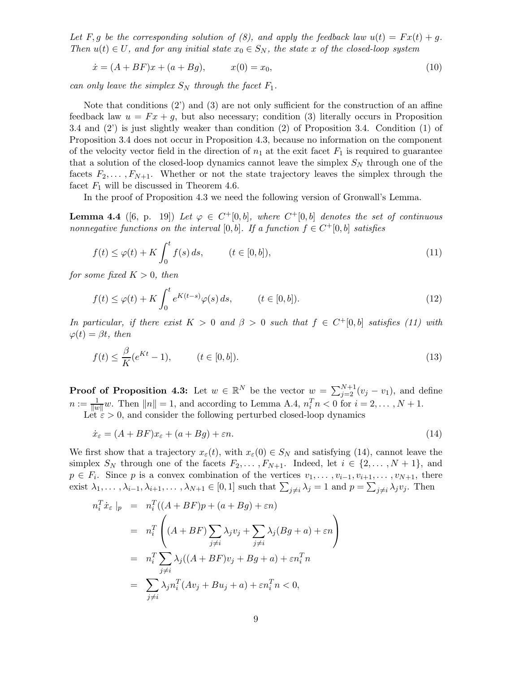Let F, g be the corresponding solution of (8), and apply the feedback law  $u(t) = Fx(t) + g$ . Then  $u(t) \in U$ , and for any initial state  $x_0 \in S_N$ , the state x of the closed-loop system

$$
\dot{x} = (A + BF)x + (a + Bg), \qquad x(0) = x_0,\tag{10}
$$

can only leave the simplex  $S_N$  through the facet  $F_1$ .

Note that conditions (2') and (3) are not only sufficient for the construction of an affine feedback law  $u = Fx + g$ , but also necessary; condition (3) literally occurs in Proposition 3.4 and (2') is just slightly weaker than condition (2) of Proposition 3.4. Condition (1) of Proposition 3.4 does not occur in Proposition 4.3, because no information on the component of the velocity vector field in the direction of  $n_1$  at the exit facet  $F_1$  is required to guarantee that a solution of the closed-loop dynamics cannot leave the simplex  $S_N$  through one of the facets  $F_2, \ldots, F_{N+1}$ . Whether or not the state trajectory leaves the simplex through the facet  $F_1$  will be discussed in Theorem 4.6.

In the proof of Proposition 4.3 we need the following version of Gronwall's Lemma.

**Lemma 4.4** ([6, p. 19]) Let  $\varphi \in C^+[0,b]$ , where  $C^+[0,b]$  denotes the set of continuous nonnegative functions on the interval [0, b]. If a function  $f \in C^+[0,b]$  satisfies

$$
f(t) \le \varphi(t) + K \int_0^t f(s) ds, \qquad (t \in [0, b]), \tag{11}
$$

for some fixed  $K > 0$ , then

$$
f(t) \le \varphi(t) + K \int_0^t e^{K(t-s)} \varphi(s) ds, \qquad (t \in [0, b]).
$$
\n(12)

In particular, if there exist  $K > 0$  and  $\beta > 0$  such that  $f \in C^+[0,b]$  satisfies (11) with  $\varphi(t) = \beta t$ , then

$$
f(t) \le \frac{\beta}{K}(e^{Kt} - 1), \qquad (t \in [0, b]).
$$
\n(13)

**Proof of Proposition 4.3:** Let  $w \in \mathbb{R}^N$  be the vector  $w = \sum_{j=2}^{N+1} (v_j - v_1)$ , and define  $n := \frac{1}{\|w\|} w$ . Then  $\|n\| = 1$ , and according to Lemma A.4,  $n_i^T n < 0$  for  $i = 2, ..., N + 1$ . Let  $\epsilon > 0$ , and consider the following perturbed closed-loop dynamics

 $\dot{x}_{\varepsilon} = (A + BF)x_{\varepsilon} + (a + Bg) + \varepsilon n.$ (14)

We first show that a trajectory  $x_{\varepsilon}(t)$ , with  $x_{\varepsilon}(0) \in S_N$  and satisfying (14), cannot leave the simplex  $S_N$  through one of the facets  $F_2,\ldots,F_{N+1}$ . Indeed, let  $i \in \{2,\ldots,N+1\}$ , and  $p \in F_i$ . Since p is a convex combination of the vertices  $v_1, \ldots, v_{i-1}, v_{i+1}, \ldots, v_{N+1}$ , there exist  $\lambda_1, \ldots, \lambda_{i-1}, \lambda_{i+1}, \ldots, \lambda_{N+1} \in [0,1]$  such that  $\sum_{j \neq i} \lambda_j = 1$  and  $p = \sum_{j \neq i} \lambda_j v_j$ . Then

$$
n_i^T \dot{x}_{\varepsilon} \Big|_p = n_i^T \big( (A + BF)p + (a + Bg) + \varepsilon n \big)
$$
  
= 
$$
n_i^T \left( (A + BF) \sum_{j \neq i} \lambda_j v_j + \sum_{j \neq i} \lambda_j (Bg + a) + \varepsilon n \right)
$$
  
= 
$$
n_i^T \sum_{j \neq i} \lambda_j ((A + BF)v_j + Bg + a) + \varepsilon n_i^T n
$$
  
= 
$$
\sum_{j \neq i} \lambda_j n_i^T (Av_j + Bu_j + a) + \varepsilon n_i^T n < 0,
$$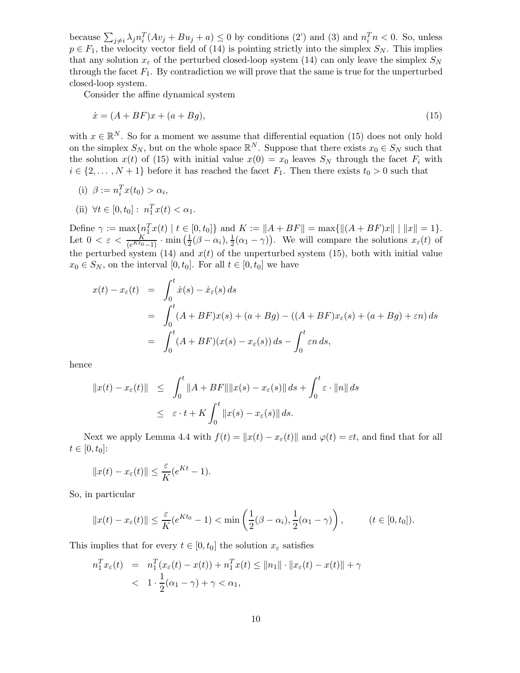because  $\sum_{j\neq i} \lambda_j n_i^T (Av_j + Bu_j + a) \leq 0$  by conditions (2') and (3) and  $n_i^T n < 0$ . So, unless  $p \in F_1$ , the velocity vector field of (14) is pointing strictly into the simplex  $S_N$ . This implies that any solution  $x_{\varepsilon}$  of the perturbed closed-loop system (14) can only leave the simplex  $S_N$ through the facet  $F_1$ . By contradiction we will prove that the same is true for the unperturbed closed-loop system.

Consider the affine dynamical system

$$
\dot{x} = (A + BF)x + (a + Bg),\tag{15}
$$

with  $x \in \mathbb{R}^N$ . So for a moment we assume that differential equation (15) does not only hold on the simplex  $S_N$ , but on the whole space  $\mathbb{R}^N$ . Suppose that there exists  $x_0 \in S_N$  such that the solution  $x(t)$  of (15) with initial value  $x(0) = x_0$  leaves  $S_N$  through the facet  $F_i$  with  $i \in \{2,\ldots,N+1\}$  before it has reached the facet  $F_1$ . Then there exists  $t_0 > 0$  such that

- (i)  $\beta := n_i^T x(t_0) > \alpha_i$ ,
- (ii)  $\forall t \in [0, t_0]: n_1^T x(t) < \alpha_1.$

Define  $\gamma := \max\{n_1^T x(t) \mid t \in [0, t_0]\}\$ and  $K := ||A + BF|| = \max\{||(A + BF)x|| \mid ||x|| = 1\}.$ Let  $0 < \varepsilon < \frac{K}{(e^{Kt_0}-1)} \cdot \min\left(\frac{1}{2}(\beta-\alpha_i),\frac{1}{2}(\alpha_1-\gamma)\right)$ . We will compare the solutions  $x_{\varepsilon}(t)$  of the perturbed system (14) and  $x(t)$  of the unperturbed system (15), both with initial value  $x_0 \in S_N$ , on the interval  $[0, t_0]$ . For all  $t \in [0, t_0]$  we have

$$
x(t) - x_{\varepsilon}(t) = \int_0^t \dot{x}(s) - \dot{x}_{\varepsilon}(s) ds
$$
  
= 
$$
\int_0^t (A + BF)x(s) + (a + Bg) - ((A + BF)x_{\varepsilon}(s) + (a + Bg) + \varepsilon n) ds
$$
  
= 
$$
\int_0^t (A + BF)(x(s) - x_{\varepsilon}(s)) ds - \int_0^t \varepsilon n ds,
$$

hence

$$
||x(t) - x_{\varepsilon}(t)|| \leq \int_0^t ||A + BF|| ||x(s) - x_{\varepsilon}(s)|| ds + \int_0^t \varepsilon \cdot ||n|| ds
$$
  

$$
\leq \varepsilon \cdot t + K \int_0^t ||x(s) - x_{\varepsilon}(s)|| ds.
$$

Next we apply Lemma 4.4 with  $f(t) = ||x(t) - x_{\varepsilon}(t)||$  and  $\varphi(t) = \varepsilon t$ , and find that for all  $t \in [0, t_0]$ :

$$
||x(t) - x_{\varepsilon}(t)|| \leq \frac{\varepsilon}{K} (e^{Kt} - 1).
$$

So, in particular

$$
||x(t) - x_{\varepsilon}(t)|| \leq \frac{\varepsilon}{K} (e^{Kt_0} - 1) < \min\left(\frac{1}{2}(\beta - \alpha_i), \frac{1}{2}(\alpha_1 - \gamma)\right), \qquad (t \in [0, t_0]).
$$

This implies that for every  $t \in [0, t_0]$  the solution  $x_{\varepsilon}$  satisfies

$$
n_1^T x_\varepsilon(t) = n_1^T (x_\varepsilon(t) - x(t)) + n_1^T x(t) \le ||n_1|| \cdot ||x_\varepsilon(t) - x(t)|| + \gamma
$$
  
< 
$$
< 1 \cdot \frac{1}{2} (\alpha_1 - \gamma) + \gamma < \alpha_1,
$$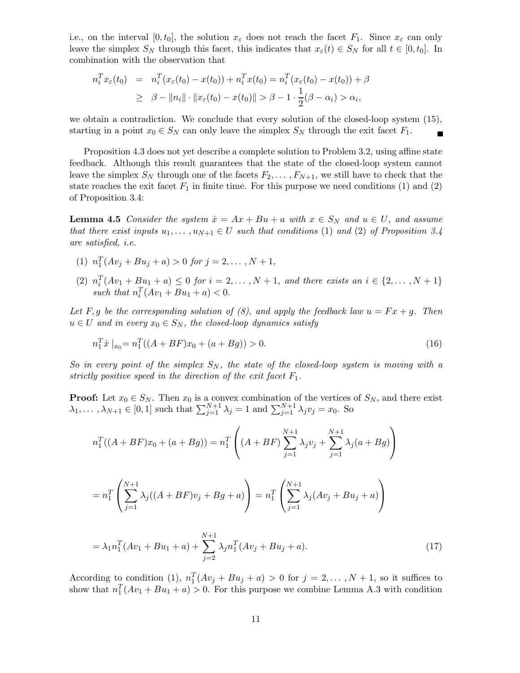i.e., on the interval  $[0, t_0]$ , the solution  $x_\varepsilon$  does not reach the facet  $F_1$ . Since  $x_\varepsilon$  can only leave the simplex  $S_N$  through this facet, this indicates that  $x_\varepsilon(t) \in S_N$  for all  $t \in [0, t_0]$ . In combination with the observation that

$$
n_i^T x_{\varepsilon}(t_0) = n_i^T (x_{\varepsilon}(t_0) - x(t_0)) + n_i^T x(t_0) = n_i^T (x_{\varepsilon}(t_0) - x(t_0)) + \beta \geq \beta - ||n_i|| \cdot ||x_{\varepsilon}(t_0) - x(t_0)|| > \beta - 1 \cdot \frac{1}{2} (\beta - \alpha_i) > \alpha_i,
$$

we obtain a contradiction. We conclude that every solution of the closed-loop system (15), starting in a point  $x_0 \in S_N$  can only leave the simplex  $S_N$  through the exit facet  $F_1$ .  $\blacksquare$ 

Proposition 4.3 does not yet describe a complete solution to Problem 3.2, using affine state feedback. Although this result guarantees that the state of the closed-loop system cannot leave the simplex  $S_N$  through one of the facets  $F_2,\ldots,F_{N+1}$ , we still have to check that the state reaches the exit facet  $F_1$  in finite time. For this purpose we need conditions (1) and (2) of Proposition 3.4:

**Lemma 4.5** Consider the system  $\dot{x} = Ax + Bu + a$  with  $x \in S_N$  and  $u \in U$ , and assume that there exist inputs  $u_1, \ldots, u_{N+1} \in U$  such that conditions (1) and (2) of Proposition 3.4 are satisfied, i.e.

- (1)  $n_1^T(Av_j + Bu_j + a) > 0$  for  $j = 2, ..., N + 1$ ,
- (2)  $n_i^T(Av_1 + Bu_1 + a) \leq 0$  for  $i = 2, ..., N + 1$ , and there exists an  $i \in \{2, ..., N + 1\}$ such that  $n_i^T(Av_1 + Bu_1 + a) < 0$ .

Let F,g be the corresponding solution of (8), and apply the feedback law  $u = Fx + g$ . Then  $u \in U$  and in every  $x_0 \in S_N$ , the closed-loop dynamics satisfy

$$
n_1^T \dot{x} \mid_{x_0} = n_1^T((A + BF)x_0 + (a + Bg)) > 0. \tag{16}
$$

So in every point of the simplex  $S_N$ , the state of the closed-loop system is moving with a strictly positive speed in the direction of the exit facet  $F_1$ .

**Proof:** Let  $x_0 \in S_N$ . Then  $x_0$  is a convex combination of the vertices of  $S_N$ , and there exist  $\lambda_1, \ldots, \lambda_{N+1} \in [0, 1]$  such that  $\sum_{j=1}^{N+1} \lambda_j = 1$  and  $\sum_{j=1}^{N+1} \lambda_j v_j = x_0$ . So

$$
n_1^T((A + BF)x_0 + (a + Bg)) = n_1^T\left((A + BF)\sum_{j=1}^{N+1} \lambda_j v_j + \sum_{j=1}^{N+1} \lambda_j (a + Bg)\right)
$$

$$
= n_1^T \left( \sum_{j=1}^{N+1} \lambda_j ((A + BF)v_j + Bg + a) \right) = n_1^T \left( \sum_{j=1}^{N+1} \lambda_j (Av_j + Bu_j + a) \right)
$$

$$
= \lambda_1 n_1^T (Av_1 + Bu_1 + a) + \sum_{j=2}^{N+1} \lambda_j n_1^T (Av_j + Bu_j + a).
$$
\n(17)

According to condition (1),  $n_1^T(Av_j + Bu_j + a) > 0$  for  $j = 2,..., N + 1$ , so it suffices to show that  $n_1^T(Av_1 + Bu_1 + a) > 0$ . For this purpose we combine Lemma A.3 with condition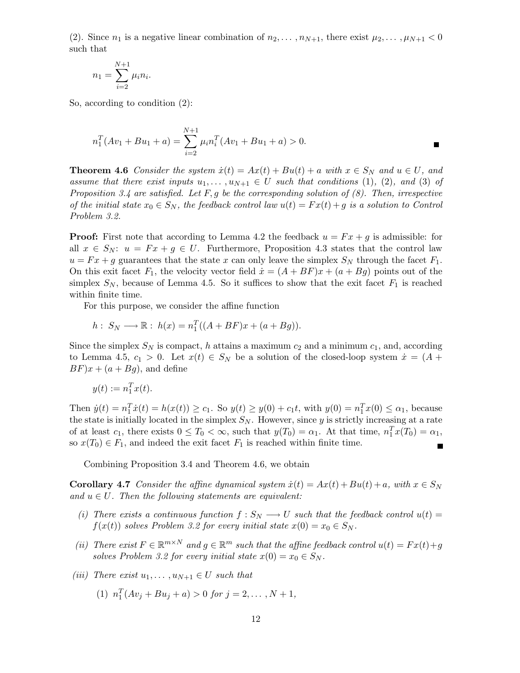(2). Since  $n_1$  is a negative linear combination of  $n_2,\ldots,n_{N+1}$ , there exist  $\mu_2,\ldots,\mu_{N+1} < 0$ such that

$$
n_1 = \sum_{i=2}^{N+1} \mu_i n_i.
$$

So, according to condition (2):

$$
n_1^T(Av_1 + Bu_1 + a) = \sum_{i=2}^{N+1} \mu_i n_i^T(Av_1 + Bu_1 + a) > 0.
$$

**Theorem 4.6** Consider the system  $\dot{x}(t) = Ax(t) + Bu(t) + a$  with  $x \in S_N$  and  $u \in U$ , and assume that there exist inputs  $u_1, \ldots, u_{N+1} \in U$  such that conditions (1), (2), and (3) of Proposition 3.4 are satisfied. Let F, g be the corresponding solution of  $(8)$ . Then, irrespective of the initial state  $x_0 \in S_N$ , the feedback control law  $u(t) = Fx(t) + g$  is a solution to Control Problem 3.2.

**Proof:** First note that according to Lemma 4.2 the feedback  $u = Fx + g$  is admissible: for all  $x \in S_N$ :  $u = Fx + g \in U$ . Furthermore, Proposition 4.3 states that the control law  $u = Fx + g$  guarantees that the state x can only leave the simplex  $S_N$  through the facet  $F_1$ . On this exit facet  $F_1$ , the velocity vector field  $\dot{x} = (A + BF)x + (a + Bg)$  points out of the simplex  $S_N$ , because of Lemma 4.5. So it suffices to show that the exit facet  $F_1$  is reached within finite time.

For this purpose, we consider the affine function

$$
h: S_N \longrightarrow \mathbb{R}: h(x) = n_1^T((A + BF)x + (a + Bg)).
$$

Since the simplex  $S_N$  is compact, h attains a maximum  $c_2$  and a minimum  $c_1$ , and, according to Lemma 4.5,  $c_1 > 0$ . Let  $x(t) \in S_N$  be a solution of the closed-loop system  $\dot{x} = (A +$  $BF)x + (a + Bg)$ , and define

$$
y(t) := n_1^T x(t).
$$

Then  $\dot{y}(t) = n_1^T \dot{x}(t) = h(x(t)) \ge c_1$ . So  $y(t) \ge y(0) + c_1 t$ , with  $y(0) = n_1^T x(0) \le \alpha_1$ , because the state is initially located in the simplex  $S_N$ . However, since y is strictly increasing at a rate of at least  $c_1$ , there exists  $0 \leq T_0 < \infty$ , such that  $y(T_0) = \alpha_1$ . At that time,  $n_1^T x(T_0) = \alpha_1$ , so  $x(T_0) \in F_1$ , and indeed the exit facet  $F_1$  is reached within finite time.  $\blacksquare$ 

Combining Proposition 3.4 and Theorem 4.6, we obtain

**Corollary 4.7** Consider the affine dynamical system  $\dot{x}(t) = Ax(t) + Bu(t) + a$ , with  $x \in S_N$ and  $u \in U$ . Then the following statements are equivalent:

- (i) There exists a continuous function  $f : S_N \longrightarrow U$  such that the feedback control  $u(t) =$  $f(x(t))$  solves Problem 3.2 for every initial state  $x(0) = x_0 \in S_N$ .
- (ii) There exist  $F \in \mathbb{R}^{m \times N}$  and  $g \in \mathbb{R}^m$  such that the affine feedback control  $u(t) = Fx(t) + g(t)$ solves Problem 3.2 for every initial state  $x(0) = x_0 \in S_N$ .
- (iii) There exist  $u_1, \ldots, u_{N+1} \in U$  such that
	- (1)  $n_1^T(Av_j + Bu_j + a) > 0$  for  $j = 2, ..., N + 1$ ,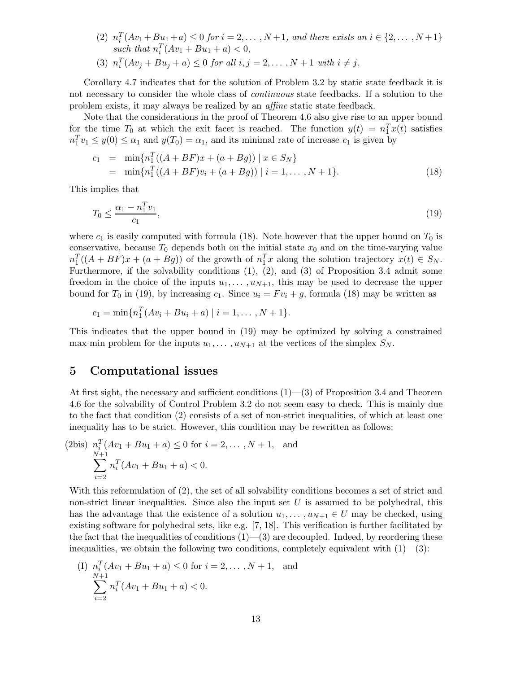(2)  $n_i^T(Av_1 + Bu_1 + a) \le 0$  for  $i = 2, ..., N+1$ , and there exists an  $i \in \{2, ..., N+1\}$ such that  $n_i^T(Av_1 + Bu_1 + a) < 0$ , (3)  $n_i^T(Av_j + Bu_j + a) \le 0$  for all  $i, j = 2, ..., N + 1$  with  $i \ne j$ .

Corollary 4.7 indicates that for the solution of Problem 3.2 by static state feedback it is not necessary to consider the whole class of *continuous* state feedbacks. If a solution to the problem exists, it may always be realized by an affine static state feedback.

Note that the considerations in the proof of Theorem 4.6 also give rise to an upper bound for the time  $T_0$  at which the exit facet is reached. The function  $y(t) = n_1^T x(t)$  satisfies  $n_1^T v_1 \leq y(0) \leq \alpha_1$  and  $y(T_0) = \alpha_1$ , and its minimal rate of increase  $c_1$  is given by

$$
c_1 = \min\{n_1^T((A + BF)x + (a + Bg)) \mid x \in S_N\}
$$
  
=  $\min\{n_1^T((A + BF)v_i + (a + Bg)) \mid i = 1, ..., N + 1\}.$  (18)

This implies that

$$
T_0 \le \frac{\alpha_1 - n_1^T v_1}{c_1},\tag{19}
$$

where  $c_1$  is easily computed with formula (18). Note however that the upper bound on  $T_0$  is conservative, because  $T_0$  depends both on the initial state  $x_0$  and on the time-varying value  $n_1^T((A + BF)x + (a + Bg))$  of the growth of  $n_1^Tx$  along the solution trajectory  $x(t) \in S_N$ . Furthermore, if the solvability conditions (1), (2), and (3) of Proposition 3.4 admit some freedom in the choice of the inputs  $u_1, \ldots, u_{N+1}$ , this may be used to decrease the upper bound for  $T_0$  in (19), by increasing  $c_1$ . Since  $u_i = Fv_i + g$ , formula (18) may be written as

$$
c_1 = \min\{n_1^T(Av_i + Bu_i + a) \mid i = 1, ..., N + 1\}.
$$

This indicates that the upper bound in (19) may be optimized by solving a constrained max-min problem for the inputs  $u_1, \ldots, u_{N+1}$  at the vertices of the simplex  $S_N$ .

#### **5 Computational issues**

At first sight, the necessary and sufficient conditions (1)—(3) of Proposition 3.4 and Theorem 4.6 for the solvability of Control Problem 3.2 do not seem easy to check. This is mainly due to the fact that condition (2) consists of a set of non-strict inequalities, of which at least one inequality has to be strict. However, this condition may be rewritten as follows:

(2bis) 
$$
n_i^T (Av_1 + Bu_1 + a) \le 0
$$
 for  $i = 2, ..., N + 1$ , and  
\n
$$
\sum_{i=2}^{N+1} n_i^T (Av_1 + Bu_1 + a) < 0.
$$

With this reformulation of (2), the set of all solvability conditions becomes a set of strict and non-strict linear inequalities. Since also the input set  $U$  is assumed to be polyhedral, this has the advantage that the existence of a solution  $u_1, \ldots, u_{N+1} \in U$  may be checked, using existing software for polyhedral sets, like e.g. [7, 18]. This verification is further facilitated by the fact that the inequalities of conditions  $(1)$ — $(3)$  are decoupled. Indeed, by reordering these inequalities, we obtain the following two conditions, completely equivalent with  $(1)$ — $(3)$ :

(I) 
$$
n_i^T(Av_1 + Bu_1 + a) \le 0
$$
 for  $i = 2, ..., N + 1$ , and  
\n
$$
\sum_{i=2}^{N+1} n_i^T(Av_1 + Bu_1 + a) < 0.
$$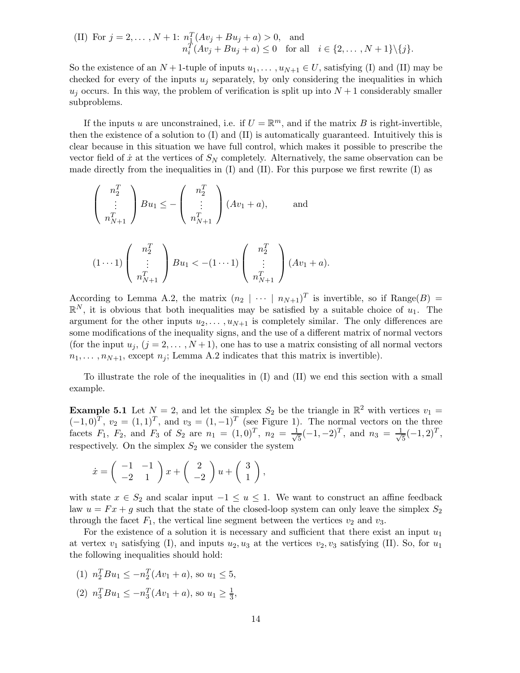(II) For 
$$
j = 2, ..., N + 1
$$
:  $n_1^T(Av_j + Bu_j + a) > 0$ , and  
\n $n_i^T(Av_j + Bu_j + a) \le 0$  for all  $i \in \{2, ..., N + 1\} \setminus \{j\}$ .

So the existence of an  $N+1$ -tuple of inputs  $u_1,\ldots,u_{N+1} \in U$ , satisfying (I) and (II) may be checked for every of the inputs  $u_i$  separately, by only considering the inequalities in which  $u_j$  occurs. In this way, the problem of verification is split up into  $N+1$  considerably smaller subproblems.

If the inputs u are unconstrained, i.e. if  $U = \mathbb{R}^m$ , and if the matrix B is right-invertible, then the existence of a solution to (I) and (II) is automatically guaranteed. Intuitively this is clear because in this situation we have full control, which makes it possible to prescribe the vector field of  $\dot{x}$  at the vertices of  $S_N$  completely. Alternatively, the same observation can be made directly from the inequalities in  $(I)$  and  $(II)$ . For this purpose we first rewrite  $(I)$  as

$$
\begin{pmatrix} n_2^T \\ \vdots \\ n_{N+1}^T \end{pmatrix} Bu_1 \le -\begin{pmatrix} n_2^T \\ \vdots \\ n_{N+1}^T \end{pmatrix} (Av_1 + a), \quad \text{and}
$$

$$
(1 \cdots 1) \left( \begin{array}{c} n_2^T \\ \vdots \\ n_{N+1}^T \end{array} \right) B u_1 < -(1 \cdots 1) \left( \begin{array}{c} n_2^T \\ \vdots \\ n_{N+1}^T \end{array} \right) (A v_1 + a).
$$

According to Lemma A.2, the matrix  $(n_2 \mid \cdots \mid n_{N+1})^T$  is invertible, so if Range $(B)$  =  $\mathbb{R}^N$ , it is obvious that both inequalities may be satisfied by a suitable choice of  $u_1$ . The argument for the other inputs  $u_2, \ldots, u_{N+1}$  is completely similar. The only differences are some modifications of the inequality signs, and the use of a different matrix of normal vectors (for the input  $u_j$ ,  $(j = 2, ..., N+1)$ , one has to use a matrix consisting of all normal vectors  $n_1,\ldots,n_{N+1}$ , except  $n_j$ ; Lemma A.2 indicates that this matrix is invertible).

To illustrate the role of the inequalities in (I) and (II) we end this section with a small example.

**Example 5.1** Let  $N = 2$ , and let the simplex  $S_2$  be the triangle in  $\mathbb{R}^2$  with vertices  $v_1 =$  $(-1, 0)^T$ ,  $v_2 = (1, 1)^T$ , and  $v_3 = (1, -1)^T$  (see Figure 1). The normal vectors on the three facets  $F_1$ ,  $F_2$ , and  $F_3$  of  $S_2$  are  $n_1 = (1, 0)^T$ ,  $n_2 = \frac{1}{\sqrt{5}}(-1, -2)^T$ , and  $n_3 = \frac{1}{\sqrt{5}}(-1, 2)^T$ , respectively. On the simplex  $S_2$  we consider the system

$$
\dot{x} = \begin{pmatrix} -1 & -1 \\ -2 & 1 \end{pmatrix} x + \begin{pmatrix} 2 \\ -2 \end{pmatrix} u + \begin{pmatrix} 3 \\ 1 \end{pmatrix},
$$

with state  $x \in S_2$  and scalar input  $-1 \le u \le 1$ . We want to construct an affine feedback law  $u = Fx + g$  such that the state of the closed-loop system can only leave the simplex  $S_2$ through the facet  $F_1$ , the vertical line segment between the vertices  $v_2$  and  $v_3$ .

For the existence of a solution it is necessary and sufficient that there exist an input  $u_1$ at vertex  $v_1$  satisfying (I), and inputs  $u_2, u_3$  at the vertices  $v_2, v_3$  satisfying (II). So, for  $u_1$ the following inequalities should hold:

- (1)  $n_2^T B u_1 \le -n_2^T (Av_1 + a)$ , so  $u_1 \le 5$ ,
- (2)  $n_3^T B u_1 \le -n_3^T (Av_1 + a)$ , so  $u_1 \ge \frac{1}{3}$ ,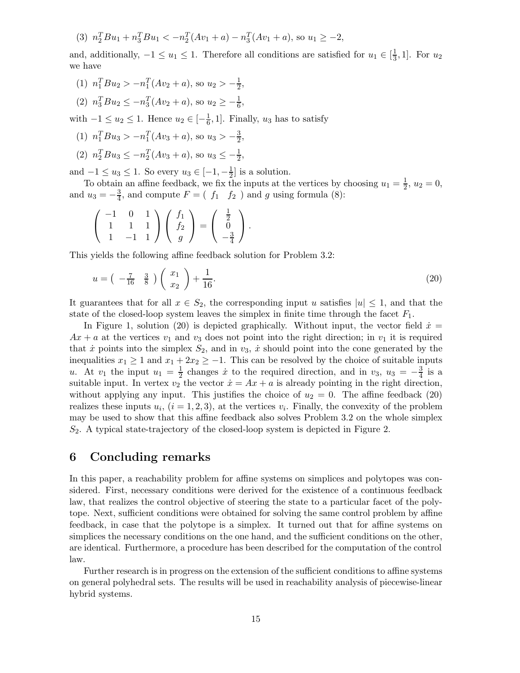(3)  $n_2^T B u_1 + n_3^T B u_1 < -n_2^T (Av_1 + a) - n_3^T (Av_1 + a)$ , so  $u_1 \ge -2$ ,

and, additionally,  $-1 \le u_1 \le 1$ . Therefore all conditions are satisfied for  $u_1 \in [\frac{1}{3}, 1]$ . For  $u_2$ we have

- (1)  $n_1^T B u_2 > -n_1^T (Av_2 + a)$ , so  $u_2 > -\frac{1}{2}$ ,
- (2)  $n_3^T B u_2 \le -n_3^T (Av_2 + a)$ , so  $u_2 \ge -\frac{1}{6}$ ,

with  $-1 \le u_2 \le 1$ . Hence  $u_2 \in [-\frac{1}{6}, 1]$ . Finally,  $u_3$  has to satisfy

- (1)  $n_1^T B u_3 > -n_1^T (Av_3 + a)$ , so  $u_3 > -\frac{3}{2}$ ,
- (2)  $n_2^T B u_3 \le -n_2^T (Av_3 + a)$ , so  $u_3 \le -\frac{1}{2}$ ,

and  $-1 \le u_3 \le 1$ . So every  $u_3 \in [-1, -\frac{1}{2}]$  is a solution.

To obtain an affine feedback, we fix the inputs at the vertices by choosing  $u_1 = \frac{1}{2}$ ,  $u_2 = 0$ , and  $u_3 = -\frac{3}{4}$ , and compute  $F = (f_1 \quad f_2)$  and g using formula (8):

$$
\left(\begin{array}{rrr} -1 & 0 & 1 \\ 1 & 1 & 1 \\ 1 & -1 & 1 \end{array}\right) \left(\begin{array}{c} f_1 \\ f_2 \\ g \end{array}\right) = \left(\begin{array}{c} \frac{1}{2} \\ 0 \\ -\frac{3}{4} \end{array}\right).
$$

This yields the following affine feedback solution for Problem 3.2:

$$
u = \left(-\frac{7}{16} \quad \frac{3}{8}\right) \left(\frac{x_1}{x_2}\right) + \frac{1}{16}.\tag{20}
$$

It guarantees that for all  $x \in S_2$ , the corresponding input u satisfies  $|u| \leq 1$ , and that the state of the closed-loop system leaves the simplex in finite time through the facet  $F_1$ .

In Figure 1, solution (20) is depicted graphically. Without input, the vector field  $\dot{x} =$  $Ax + a$  at the vertices  $v_1$  and  $v_3$  does not point into the right direction; in  $v_1$  it is required that  $\dot{x}$  points into the simplex  $S_2$ , and in  $v_3$ ,  $\dot{x}$  should point into the cone generated by the inequalities  $x_1 \geq 1$  and  $x_1 + 2x_2 \geq -1$ . This can be resolved by the choice of suitable inputs u. At  $v_1$  the input  $u_1 = \frac{1}{2}$  changes  $\dot{x}$  to the required direction, and in  $v_3$ ,  $u_3 = -\frac{3}{4}$  is a suitable input. In vertex  $v_2$  the vector  $\dot{x} = Ax + a$  is already pointing in the right direction, without applying any input. This justifies the choice of  $u_2 = 0$ . The affine feedback (20) realizes these inputs  $u_i$ ,  $(i = 1, 2, 3)$ , at the vertices  $v_i$ . Finally, the convexity of the problem may be used to show that this affine feedback also solves Problem 3.2 on the whole simplex  $S<sub>2</sub>$ . A typical state-trajectory of the closed-loop system is depicted in Figure 2.

#### **6 Concluding remarks**

In this paper, a reachability problem for affine systems on simplices and polytopes was considered. First, necessary conditions were derived for the existence of a continuous feedback law, that realizes the control objective of steering the state to a particular facet of the polytope. Next, sufficient conditions were obtained for solving the same control problem by affine feedback, in case that the polytope is a simplex. It turned out that for affine systems on simplices the necessary conditions on the one hand, and the sufficient conditions on the other, are identical. Furthermore, a procedure has been described for the computation of the control law.

Further research is in progress on the extension of the sufficient conditions to affine systems on general polyhedral sets. The results will be used in reachability analysis of piecewise-linear hybrid systems.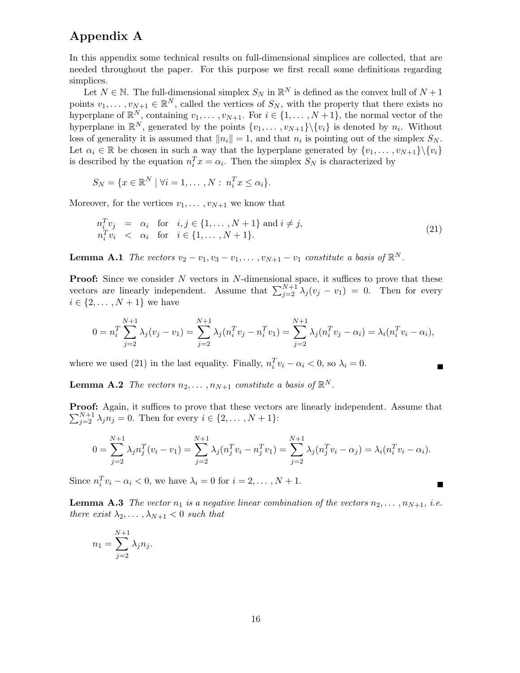## **Appendix A**

In this appendix some technical results on full-dimensional simplices are collected, that are needed throughout the paper. For this purpose we first recall some definitions regarding simplices.

Let  $N \in \mathbb{N}$ . The full-dimensional simplex  $S_N$  in  $\mathbb{R}^N$  is defined as the convex hull of  $N+1$ points  $v_1, \ldots, v_{N+1} \in \mathbb{R}^N$ , called the vertices of  $S_N$ , with the property that there exists no hyperplane of  $\mathbb{R}^N$ , containing  $v_1, \ldots, v_{N+1}$ . For  $i \in \{1, \ldots, N+1\}$ , the normal vector of the hyperplane in  $\mathbb{R}^N$ , generated by the points  $\{v_1,\ldots,v_{N+1}\}\backslash\{v_i\}$  is denoted by  $n_i$ . Without loss of generality it is assumed that  $||n_i|| = 1$ , and that  $n_i$  is pointing out of the simplex  $S_N$ . Let  $\alpha_i \in \mathbb{R}$  be chosen in such a way that the hyperplane generated by  $\{v_1, \ldots, v_{N+1}\}\setminus \{v_i\}$ is described by the equation  $n_i^T x = \alpha_i$ . Then the simplex  $S_N$  is characterized by

$$
S_N = \{x \in \mathbb{R}^N \mid \forall i = 1, \dots, N : n_i^T x \le \alpha_i\}.
$$

Moreover, for the vertices  $v_1, \ldots, v_{N+1}$  we know that

$$
n_i^T v_j = \alpha_i \quad \text{for} \quad i, j \in \{1, \dots, N+1\} \text{ and } i \neq j,
$$
  
\n
$$
n_i^T v_i < \alpha_i \quad \text{for} \quad i \in \{1, \dots, N+1\}.
$$
\n(21)

**Lemma A.1** The vectors  $v_2 - v_1, v_3 - v_1, \ldots, v_{N+1} - v_1$  constitute a basis of  $\mathbb{R}^N$ .

**Proof:** Since we consider N vectors in N-dimensional space, it suffices to prove that these vectors are linearly independent. Assume that  $\sum_{j=2}^{N+1} \lambda_j (v_j - v_1) = 0$ . Then for every  $i \in \{2, ..., N + 1\}$  we have

$$
0 = n_i^T \sum_{j=2}^{N+1} \lambda_j (v_j - v_1) = \sum_{j=2}^{N+1} \lambda_j (n_i^T v_j - n_i^T v_1) = \sum_{j=2}^{N+1} \lambda_j (n_i^T v_j - \alpha_i) = \lambda_i (n_i^T v_i - \alpha_i),
$$

 $\blacksquare$ 

 $\blacksquare$ 

where we used (21) in the last equality. Finally,  $n_i^T v_i - \alpha_i < 0$ , so  $\lambda_i = 0$ .

**Lemma A.2** The vectors  $n_2, \ldots, n_{N+1}$  constitute a basis of  $\mathbb{R}^N$ .

Proof: Again, it suffices to prove that these vectors are linearly independent. Assume that  $\sum_{j=2}^{N+1} \lambda_j n_j = 0$ . Then for every  $i \in \{2, ..., N+1\}$ :

$$
0 = \sum_{j=2}^{N+1} \lambda_j n_j^T (v_i - v_1) = \sum_{j=2}^{N+1} \lambda_j (n_j^T v_i - n_j^T v_1) = \sum_{j=2}^{N+1} \lambda_j (n_j^T v_i - \alpha_j) = \lambda_i (n_i^T v_i - \alpha_i).
$$

Since  $n_i^T v_i - \alpha_i < 0$ , we have  $\lambda_i = 0$  for  $i = 2, ..., N + 1$ .

**Lemma A.3** The vector  $n_1$  is a negative linear combination of the vectors  $n_2, \ldots, n_{N+1}$ , i.e. there exist  $\lambda_2, \ldots, \lambda_{N+1} < 0$  such that

$$
n_1 = \sum_{j=2}^{N+1} \lambda_j n_j.
$$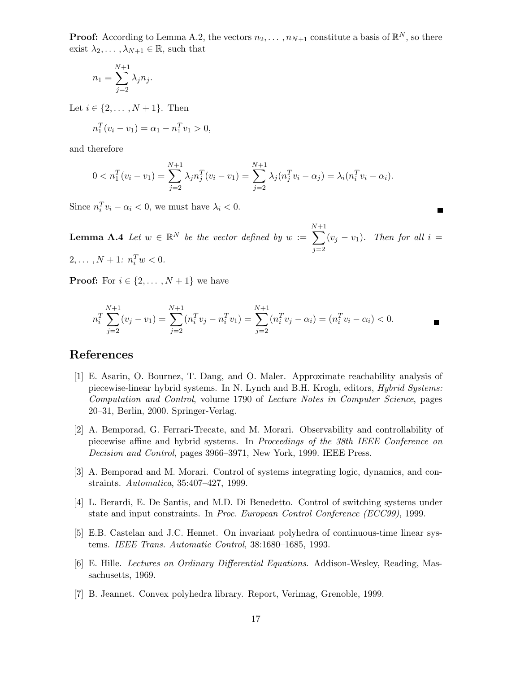**Proof:** According to Lemma A.2, the vectors  $n_2, \ldots, n_{N+1}$  constitute a basis of  $\mathbb{R}^N$ , so there exist  $\lambda_2, \ldots, \lambda_{N+1} \in \mathbb{R}$ , such that

$$
n_1 = \sum_{j=2}^{N+1} \lambda_j n_j.
$$

Let  $i \in \{2, ..., N + 1\}$ . Then

$$
n_1^T(v_i - v_1) = \alpha_1 - n_1^T v_1 > 0,
$$

and therefore

$$
0 < n_1^T(v_i - v_1) = \sum_{j=2}^{N+1} \lambda_j n_j^T(v_i - v_1) = \sum_{j=2}^{N+1} \lambda_j (n_j^T v_i - \alpha_j) = \lambda_i (n_i^T v_i - \alpha_i).
$$

Since  $n_i^T v_i - \alpha_i < 0$ , we must have  $\lambda_i < 0$ .

**Lemma A.4** Let  $w \in \mathbb{R}^N$  be the vector defined by  $w :=$ N  $\sum$  $^{+1}$  $j=2$  $(v_j - v_1)$ . Then for all  $i =$  $2, \ldots, N+1: n_i^T w < 0.$ 

 $\blacksquare$ 

**Proof:** For  $i \in \{2, ..., N+1\}$  we have

$$
n_i^T \sum_{j=2}^{N+1} (v_j - v_1) = \sum_{j=2}^{N+1} (n_i^T v_j - n_i^T v_1) = \sum_{j=2}^{N+1} (n_i^T v_j - \alpha_i) = (n_i^T v_i - \alpha_i) < 0.
$$

### **References**

- [1] E. Asarin, O. Bournez, T. Dang, and O. Maler. Approximate reachability analysis of piecewise-linear hybrid systems. In N. Lynch and B.H. Krogh, editors, Hybrid Systems: Computation and Control, volume 1790 of Lecture Notes in Computer Science, pages 20–31, Berlin, 2000. Springer-Verlag.
- [2] A. Bemporad, G. Ferrari-Trecate, and M. Morari. Observability and controllability of piecewise affine and hybrid systems. In Proceedings of the 38th IEEE Conference on Decision and Control, pages 3966–3971, New York, 1999. IEEE Press.
- [3] A. Bemporad and M. Morari. Control of systems integrating logic, dynamics, and constraints. Automatica, 35:407–427, 1999.
- [4] L. Berardi, E. De Santis, and M.D. Di Benedetto. Control of switching systems under state and input constraints. In Proc. European Control Conference (ECC99), 1999.
- [5] E.B. Castelan and J.C. Hennet. On invariant polyhedra of continuous-time linear systems. IEEE Trans. Automatic Control, 38:1680–1685, 1993.
- [6] E. Hille. Lectures on Ordinary Differential Equations. Addison-Wesley, Reading, Massachusetts, 1969.
- [7] B. Jeannet. Convex polyhedra library. Report, Verimag, Grenoble, 1999.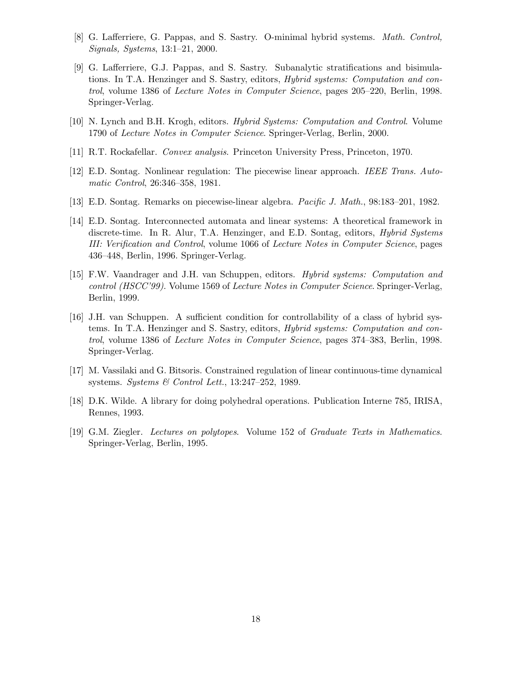- [8] G. Lafferriere, G. Pappas, and S. Sastry. O-minimal hybrid systems. *Math. Control*, Signals, Systems, 13:1–21, 2000.
- [9] G. Lafferriere, G.J. Pappas, and S. Sastry. Subanalytic stratifications and bisimulations. In T.A. Henzinger and S. Sastry, editors, *Hybrid systems: Computation and con*trol, volume 1386 of Lecture Notes in Computer Science, pages 205–220, Berlin, 1998. Springer-Verlag.
- [10] N. Lynch and B.H. Krogh, editors. Hybrid Systems: Computation and Control. Volume 1790 of Lecture Notes in Computer Science. Springer-Verlag, Berlin, 2000.
- [11] R.T. Rockafellar. Convex analysis. Princeton University Press, Princeton, 1970.
- [12] E.D. Sontag. Nonlinear regulation: The piecewise linear approach. IEEE Trans. Automatic Control, 26:346–358, 1981.
- [13] E.D. Sontag. Remarks on piecewise-linear algebra. Pacific J. Math., 98:183–201, 1982.
- [14] E.D. Sontag. Interconnected automata and linear systems: A theoretical framework in discrete-time. In R. Alur, T.A. Henzinger, and E.D. Sontag, editors, *Hybrid Systems* III: Verification and Control, volume 1066 of Lecture Notes in Computer Science, pages 436–448, Berlin, 1996. Springer-Verlag.
- [15] F.W. Vaandrager and J.H. van Schuppen, editors. Hybrid systems: Computation and control (HSCC'99). Volume 1569 of Lecture Notes in Computer Science. Springer-Verlag, Berlin, 1999.
- [16] J.H. van Schuppen. A sufficient condition for controllability of a class of hybrid systems. In T.A. Henzinger and S. Sastry, editors, Hybrid systems: Computation and control, volume 1386 of Lecture Notes in Computer Science, pages 374–383, Berlin, 1998. Springer-Verlag.
- [17] M. Vassilaki and G. Bitsoris. Constrained regulation of linear continuous-time dynamical systems. Systems  $\mathcal C$  Control Lett., 13:247–252, 1989.
- [18] D.K. Wilde. A library for doing polyhedral operations. Publication Interne 785, IRISA, Rennes, 1993.
- [19] G.M. Ziegler. Lectures on polytopes. Volume 152 of Graduate Texts in Mathematics. Springer-Verlag, Berlin, 1995.